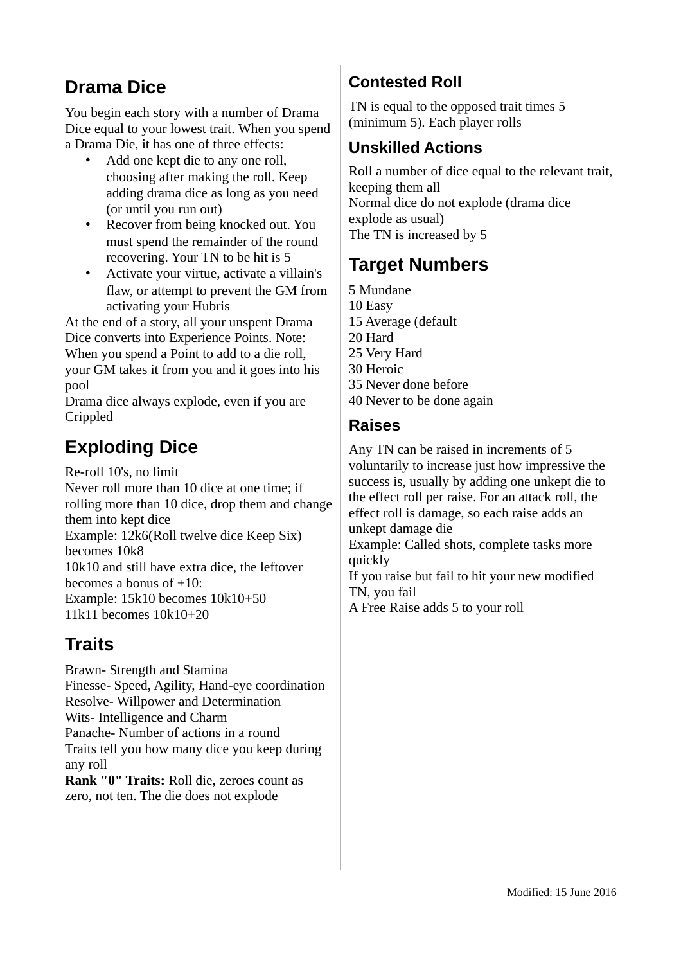# **Drama Dice**

You begin each story with a number of Drama Dice equal to your lowest trait. When you spend a Drama Die, it has one of three effects:

- Add one kept die to any one roll, choosing after making the roll. Keep adding drama dice as long as you need (or until you run out)
- Recover from being knocked out. You must spend the remainder of the round recovering. Your TN to be hit is 5
- Activate your virtue, activate a villain's flaw, or attempt to prevent the GM from activating your Hubris

At the end of a story, all your unspent Drama Dice converts into Experience Points. Note: When you spend a Point to add to a die roll, your GM takes it from you and it goes into his pool

Drama dice always explode, even if you are Crippled

# **Exploding Dice**

Re-roll 10's, no limit

Never roll more than 10 dice at one time; if rolling more than 10 dice, drop them and change them into kept dice Example: 12k6(Roll twelve dice Keep Six) becomes 10k8 10k10 and still have extra dice, the leftover becomes a bonus of +10: Example: 15k10 becomes 10k10+50 11k11 becomes 10k10+20

# **Traits**

Brawn- Strength and Stamina Finesse- Speed, Agility, Hand-eye coordination Resolve- Willpower and Determination Wits- Intelligence and Charm Panache- Number of actions in a round Traits tell you how many dice you keep during any roll **Rank "0" Traits:** Roll die, zeroes count as

zero, not ten. The die does not explode

# **Contested Roll**

TN is equal to the opposed trait times 5 (minimum 5). Each player rolls

# **Unskilled Actions**

Roll a number of dice equal to the relevant trait, keeping them all Normal dice do not explode (drama dice explode as usual) The TN is increased by 5

# **Target Numbers**

- 5 Mundane 10 Easy 15 Average (default 20 Hard 25 Very Hard 30 Heroic 35 Never done before 40 Never to be done again
	-

### **Raises**

Any TN can be raised in increments of 5 voluntarily to increase just how impressive the success is, usually by adding one unkept die to the effect roll per raise. For an attack roll, the effect roll is damage, so each raise adds an unkept damage die

Example: Called shots, complete tasks more quickly

If you raise but fail to hit your new modified TN, you fail

A Free Raise adds 5 to your roll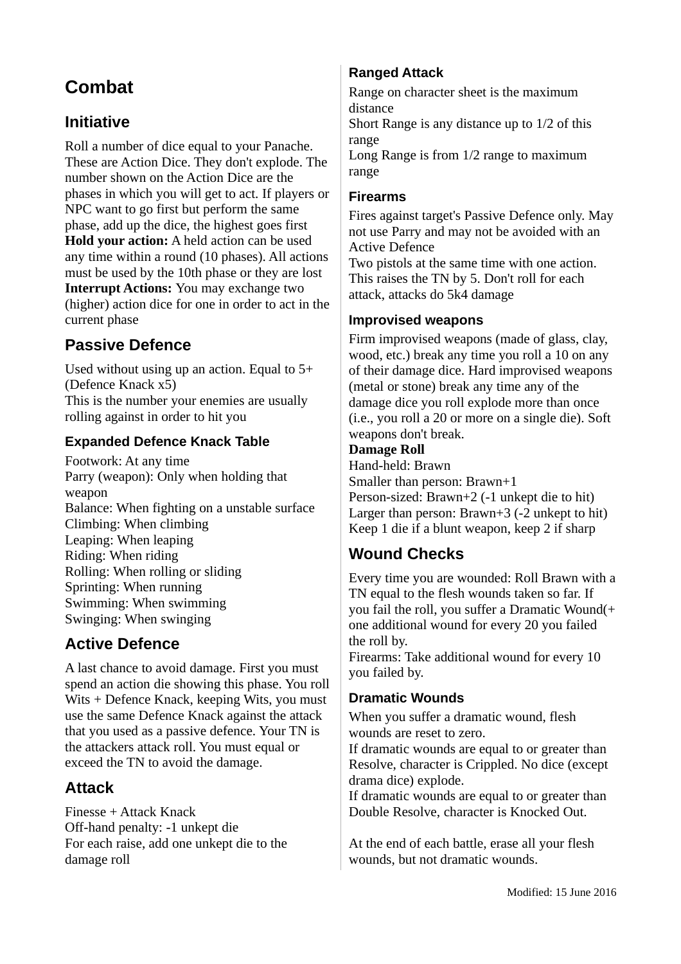# **Combat**

## **Initiative**

Roll a number of dice equal to your Panache. These are Action Dice. They don't explode. The number shown on the Action Dice are the phases in which you will get to act. If players or NPC want to go first but perform the same phase, add up the dice, the highest goes first **Hold your action:** A held action can be used any time within a round (10 phases). All actions must be used by the 10th phase or they are lost **Interrupt Actions:** You may exchange two (higher) action dice for one in order to act in the current phase

## **Passive Defence**

Used without using up an action. Equal to 5+ (Defence Knack x5) This is the number your enemies are usually rolling against in order to hit you

#### **Expanded Defence Knack Table**

Footwork: At any time Parry (weapon): Only when holding that weapon Balance: When fighting on a unstable surface Climbing: When climbing Leaping: When leaping Riding: When riding Rolling: When rolling or sliding Sprinting: When running Swimming: When swimming Swinging: When swinging

### **Active Defence**

A last chance to avoid damage. First you must spend an action die showing this phase. You roll Wits + Defence Knack, keeping Wits, you must use the same Defence Knack against the attack that you used as a passive defence. Your TN is the attackers attack roll. You must equal or exceed the TN to avoid the damage.

### **Attack**

Finesse + Attack Knack Off-hand penalty: -1 unkept die For each raise, add one unkept die to the damage roll

### **Ranged Attack**

Range on character sheet is the maximum distance

Short Range is any distance up to 1/2 of this range

Long Range is from 1/2 range to maximum range

#### **Firearms**

Fires against target's Passive Defence only. May not use Parry and may not be avoided with an Active Defence

Two pistols at the same time with one action. This raises the TN by 5. Don't roll for each attack, attacks do 5k4 damage

#### **Improvised weapons**

Firm improvised weapons (made of glass, clay, wood, etc.) break any time you roll a 10 on any of their damage dice. Hard improvised weapons (metal or stone) break any time any of the damage dice you roll explode more than once (i.e., you roll a 20 or more on a single die). Soft weapons don't break.

#### **Damage Roll**

Hand-held: Brawn Smaller than person: Brawn+1 Person-sized: Brawn+2 (-1 unkept die to hit) Larger than person: Brawn+3 (-2 unkept to hit) Keep 1 die if a blunt weapon, keep 2 if sharp

## **Wound Checks**

Every time you are wounded: Roll Brawn with a TN equal to the flesh wounds taken so far. If you fail the roll, you suffer a Dramatic Wound(+ one additional wound for every 20 you failed the roll by.

Firearms: Take additional wound for every 10 you failed by.

#### **Dramatic Wounds**

When you suffer a dramatic wound, flesh wounds are reset to zero.

If dramatic wounds are equal to or greater than Resolve, character is Crippled. No dice (except drama dice) explode.

If dramatic wounds are equal to or greater than Double Resolve, character is Knocked Out.

At the end of each battle, erase all your flesh wounds, but not dramatic wounds.